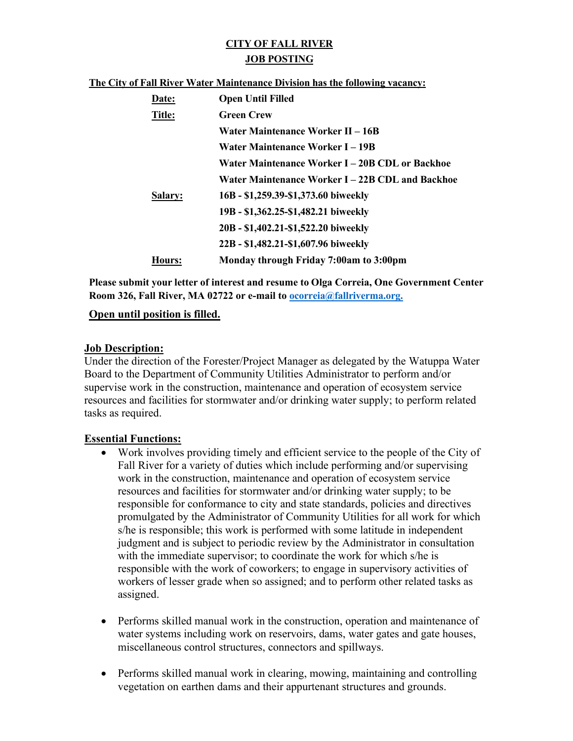# **CITY OF FALL RIVER JOB POSTING**

#### **The City of Fall River Water Maintenance Division has the following vacancy:**

| Date:         | <b>Open Until Filled</b>                         |
|---------------|--------------------------------------------------|
| Title:        | <b>Green Crew</b>                                |
|               | Water Maintenance Worker II – 16B                |
|               | Water Maintenance Worker I-19B                   |
|               | Water Maintenance Worker I – 20B CDL or Backhoe  |
|               | Water Maintenance Worker I – 22B CDL and Backhoe |
| Salary:       | 16B - \$1,259.39-\$1,373.60 biweekly             |
|               | 19B - \$1,362.25-\$1,482.21 biweekly             |
|               | 20B - \$1,402.21-\$1,522.20 biweekly             |
|               | 22B - \$1,482.21-\$1,607.96 biweekly             |
| <b>Hours:</b> | Monday through Friday 7:00am to 3:00pm           |

**Please submit your letter of interest and resume to Olga Correia, One Government Center Room 326, Fall River, MA 02722 or e-mail to [ocorreia@fallriverma.org.](mailto:ocorreia@fallriverma.org.)**

### **Open until position is filled.**

#### **Job Description:**

Under the direction of the Forester/Project Manager as delegated by the Watuppa Water Board to the Department of Community Utilities Administrator to perform and/or supervise work in the construction, maintenance and operation of ecosystem service resources and facilities for stormwater and/or drinking water supply; to perform related tasks as required.

## **Essential Functions:**

- Work involves providing timely and efficient service to the people of the City of Fall River for a variety of duties which include performing and/or supervising work in the construction, maintenance and operation of ecosystem service resources and facilities for stormwater and/or drinking water supply; to be responsible for conformance to city and state standards, policies and directives promulgated by the Administrator of Community Utilities for all work for which s/he is responsible; this work is performed with some latitude in independent judgment and is subject to periodic review by the Administrator in consultation with the immediate supervisor; to coordinate the work for which s/he is responsible with the work of coworkers; to engage in supervisory activities of workers of lesser grade when so assigned; and to perform other related tasks as assigned.
- Performs skilled manual work in the construction, operation and maintenance of water systems including work on reservoirs, dams, water gates and gate houses, miscellaneous control structures, connectors and spillways.
- Performs skilled manual work in clearing, mowing, maintaining and controlling vegetation on earthen dams and their appurtenant structures and grounds.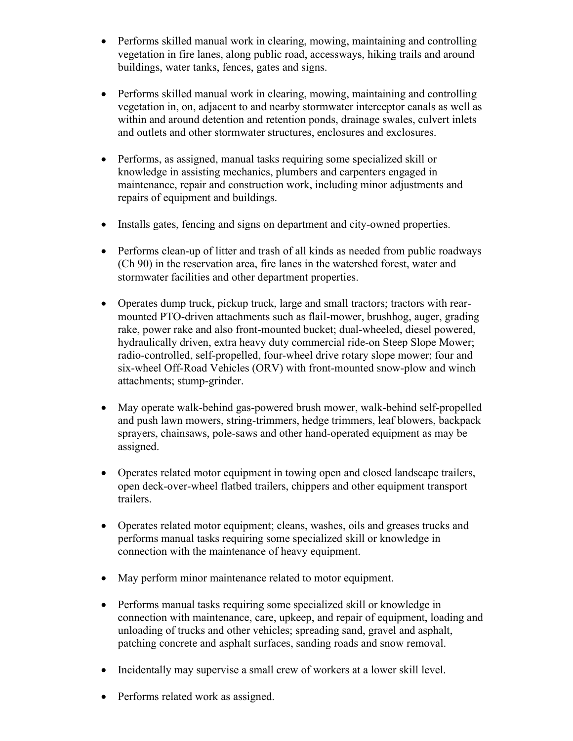- Performs skilled manual work in clearing, mowing, maintaining and controlling vegetation in fire lanes, along public road, accessways, hiking trails and around buildings, water tanks, fences, gates and signs.
- Performs skilled manual work in clearing, mowing, maintaining and controlling vegetation in, on, adjacent to and nearby stormwater interceptor canals as well as within and around detention and retention ponds, drainage swales, culvert inlets and outlets and other stormwater structures, enclosures and exclosures.
- Performs, as assigned, manual tasks requiring some specialized skill or knowledge in assisting mechanics, plumbers and carpenters engaged in maintenance, repair and construction work, including minor adjustments and repairs of equipment and buildings.
- Installs gates, fencing and signs on department and city-owned properties.
- Performs clean-up of litter and trash of all kinds as needed from public roadways (Ch 90) in the reservation area, fire lanes in the watershed forest, water and stormwater facilities and other department properties.
- Operates dump truck, pickup truck, large and small tractors; tractors with rearmounted PTO-driven attachments such as flail-mower, brushhog, auger, grading rake, power rake and also front-mounted bucket; dual-wheeled, diesel powered, hydraulically driven, extra heavy duty commercial ride-on Steep Slope Mower; radio-controlled, self-propelled, four-wheel drive rotary slope mower; four and six-wheel Off-Road Vehicles (ORV) with front-mounted snow-plow and winch attachments; stump-grinder.
- May operate walk-behind gas-powered brush mower, walk-behind self-propelled and push lawn mowers, string-trimmers, hedge trimmers, leaf blowers, backpack sprayers, chainsaws, pole-saws and other hand-operated equipment as may be assigned.
- Operates related motor equipment in towing open and closed landscape trailers, open deck-over-wheel flatbed trailers, chippers and other equipment transport trailers.
- Operates related motor equipment; cleans, washes, oils and greases trucks and performs manual tasks requiring some specialized skill or knowledge in connection with the maintenance of heavy equipment.
- May perform minor maintenance related to motor equipment.
- Performs manual tasks requiring some specialized skill or knowledge in connection with maintenance, care, upkeep, and repair of equipment, loading and unloading of trucks and other vehicles; spreading sand, gravel and asphalt, patching concrete and asphalt surfaces, sanding roads and snow removal.
- Incidentally may supervise a small crew of workers at a lower skill level.
- Performs related work as assigned.